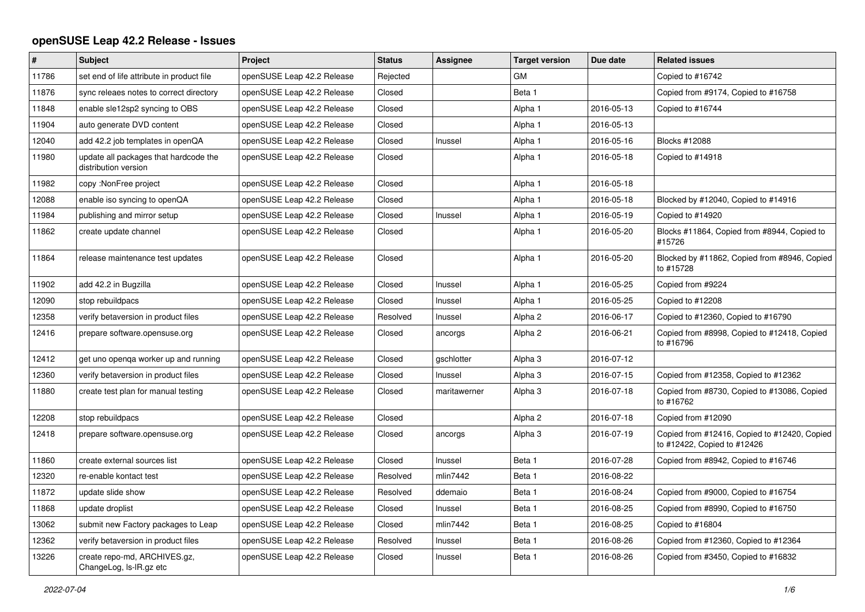## **openSUSE Leap 42.2 Release - Issues**

| $\pmb{\#}$ | <b>Subject</b>                                                | Project                    | <b>Status</b> | Assignee     | <b>Target version</b> | Due date   | <b>Related issues</b>                                                       |
|------------|---------------------------------------------------------------|----------------------------|---------------|--------------|-----------------------|------------|-----------------------------------------------------------------------------|
| 11786      | set end of life attribute in product file                     | openSUSE Leap 42.2 Release | Rejected      |              | <b>GM</b>             |            | Copied to #16742                                                            |
| 11876      | sync releaes notes to correct directory                       | openSUSE Leap 42.2 Release | Closed        |              | Beta 1                |            | Copied from #9174, Copied to #16758                                         |
| 11848      | enable sle12sp2 syncing to OBS                                | openSUSE Leap 42.2 Release | Closed        |              | Alpha 1               | 2016-05-13 | Copied to #16744                                                            |
| 11904      | auto generate DVD content                                     | openSUSE Leap 42.2 Release | Closed        |              | Alpha 1               | 2016-05-13 |                                                                             |
| 12040      | add 42.2 job templates in openQA                              | openSUSE Leap 42.2 Release | Closed        | Inussel      | Alpha 1               | 2016-05-16 | Blocks #12088                                                               |
| 11980      | update all packages that hardcode the<br>distribution version | openSUSE Leap 42.2 Release | Closed        |              | Alpha 1               | 2016-05-18 | Copied to #14918                                                            |
| 11982      | copy: NonFree project                                         | openSUSE Leap 42.2 Release | Closed        |              | Alpha 1               | 2016-05-18 |                                                                             |
| 12088      | enable iso syncing to openQA                                  | openSUSE Leap 42.2 Release | Closed        |              | Alpha 1               | 2016-05-18 | Blocked by #12040, Copied to #14916                                         |
| 11984      | publishing and mirror setup                                   | openSUSE Leap 42.2 Release | Closed        | Inussel      | Alpha 1               | 2016-05-19 | Copied to #14920                                                            |
| 11862      | create update channel                                         | openSUSE Leap 42.2 Release | Closed        |              | Alpha 1               | 2016-05-20 | Blocks #11864, Copied from #8944, Copied to<br>#15726                       |
| 11864      | release maintenance test updates                              | openSUSE Leap 42.2 Release | Closed        |              | Alpha 1               | 2016-05-20 | Blocked by #11862, Copied from #8946, Copied<br>to #15728                   |
| 11902      | add 42.2 in Bugzilla                                          | openSUSE Leap 42.2 Release | Closed        | Inussel      | Alpha 1               | 2016-05-25 | Copied from #9224                                                           |
| 12090      | stop rebuildpacs                                              | openSUSE Leap 42.2 Release | Closed        | Inussel      | Alpha 1               | 2016-05-25 | Copied to #12208                                                            |
| 12358      | verify betaversion in product files                           | openSUSE Leap 42.2 Release | Resolved      | Inussel      | Alpha <sub>2</sub>    | 2016-06-17 | Copied to #12360, Copied to #16790                                          |
| 12416      | prepare software.opensuse.org                                 | openSUSE Leap 42.2 Release | Closed        | ancorgs      | Alpha <sub>2</sub>    | 2016-06-21 | Copied from #8998, Copied to #12418, Copied<br>to #16796                    |
| 12412      | get uno openqa worker up and running                          | openSUSE Leap 42.2 Release | Closed        | gschlotter   | Alpha 3               | 2016-07-12 |                                                                             |
| 12360      | verify betaversion in product files                           | openSUSE Leap 42.2 Release | Closed        | Inussel      | Alpha 3               | 2016-07-15 | Copied from #12358, Copied to #12362                                        |
| 11880      | create test plan for manual testing                           | openSUSE Leap 42.2 Release | Closed        | maritawerner | Alpha <sub>3</sub>    | 2016-07-18 | Copied from #8730, Copied to #13086, Copied<br>to #16762                    |
| 12208      | stop rebuildpacs                                              | openSUSE Leap 42.2 Release | Closed        |              | Alpha <sub>2</sub>    | 2016-07-18 | Copied from #12090                                                          |
| 12418      | prepare software.opensuse.org                                 | openSUSE Leap 42.2 Release | Closed        | ancorgs      | Alpha <sub>3</sub>    | 2016-07-19 | Copied from #12416, Copied to #12420, Copied<br>to #12422, Copied to #12426 |
| 11860      | create external sources list                                  | openSUSE Leap 42.2 Release | Closed        | Inussel      | Beta 1                | 2016-07-28 | Copied from #8942, Copied to #16746                                         |
| 12320      | re-enable kontact test                                        | openSUSE Leap 42.2 Release | Resolved      | mlin7442     | Beta 1                | 2016-08-22 |                                                                             |
| 11872      | update slide show                                             | openSUSE Leap 42.2 Release | Resolved      | ddemaio      | Beta 1                | 2016-08-24 | Copied from #9000, Copied to #16754                                         |
| 11868      | update droplist                                               | openSUSE Leap 42.2 Release | Closed        | Inussel      | Beta 1                | 2016-08-25 | Copied from #8990, Copied to #16750                                         |
| 13062      | submit new Factory packages to Leap                           | openSUSE Leap 42.2 Release | Closed        | mlin7442     | Beta 1                | 2016-08-25 | Copied to #16804                                                            |
| 12362      | verify betaversion in product files                           | openSUSE Leap 42.2 Release | Resolved      | Inussel      | Beta 1                | 2016-08-26 | Copied from #12360, Copied to #12364                                        |
| 13226      | create repo-md, ARCHIVES.gz,<br>ChangeLog, Is-IR.gz etc       | openSUSE Leap 42.2 Release | Closed        | Inussel      | Beta 1                | 2016-08-26 | Copied from #3450, Copied to #16832                                         |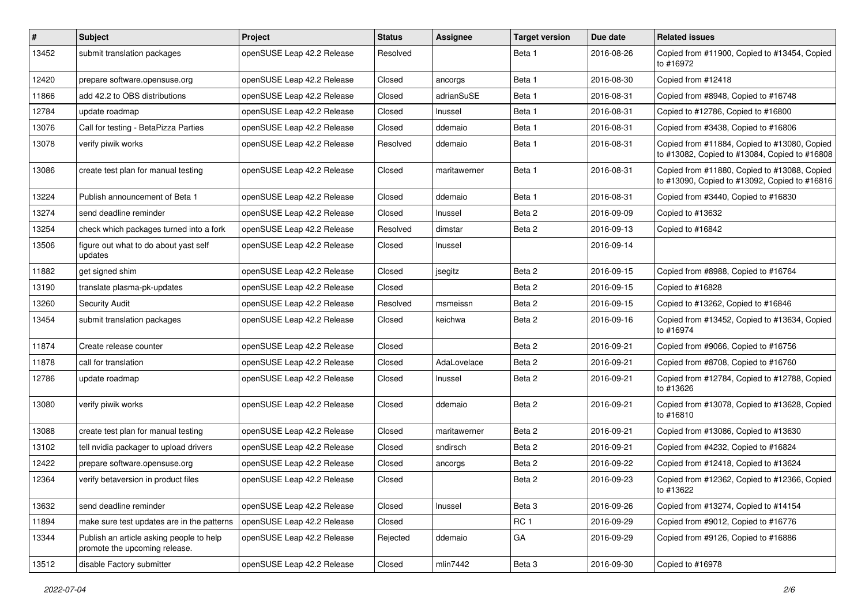| $\vert$ # | Subject                                                                   | Project                    | <b>Status</b> | <b>Assignee</b> | <b>Target version</b> | Due date   | <b>Related issues</b>                                                                         |
|-----------|---------------------------------------------------------------------------|----------------------------|---------------|-----------------|-----------------------|------------|-----------------------------------------------------------------------------------------------|
| 13452     | submit translation packages                                               | openSUSE Leap 42.2 Release | Resolved      |                 | Beta 1                | 2016-08-26 | Copied from #11900, Copied to #13454, Copied<br>to #16972                                     |
| 12420     | prepare software.opensuse.org                                             | openSUSE Leap 42.2 Release | Closed        | ancorgs         | Beta 1                | 2016-08-30 | Copied from #12418                                                                            |
| 11866     | add 42.2 to OBS distributions                                             | openSUSE Leap 42.2 Release | Closed        | adrianSuSE      | Beta 1                | 2016-08-31 | Copied from #8948, Copied to #16748                                                           |
| 12784     | update roadmap                                                            | openSUSE Leap 42.2 Release | Closed        | Inussel         | Beta 1                | 2016-08-31 | Copied to #12786, Copied to #16800                                                            |
| 13076     | Call for testing - BetaPizza Parties                                      | openSUSE Leap 42.2 Release | Closed        | ddemaio         | Beta 1                | 2016-08-31 | Copied from #3438, Copied to #16806                                                           |
| 13078     | verify piwik works                                                        | openSUSE Leap 42.2 Release | Resolved      | ddemaio         | Beta 1                | 2016-08-31 | Copied from #11884, Copied to #13080, Copied<br>to #13082, Copied to #13084, Copied to #16808 |
| 13086     | create test plan for manual testing                                       | openSUSE Leap 42.2 Release | Closed        | maritawerner    | Beta 1                | 2016-08-31 | Copied from #11880, Copied to #13088, Copied<br>to #13090, Copied to #13092, Copied to #16816 |
| 13224     | Publish announcement of Beta 1                                            | openSUSE Leap 42.2 Release | Closed        | ddemaio         | Beta 1                | 2016-08-31 | Copied from #3440, Copied to #16830                                                           |
| 13274     | send deadline reminder                                                    | openSUSE Leap 42.2 Release | Closed        | Inussel         | Beta 2                | 2016-09-09 | Copied to #13632                                                                              |
| 13254     | check which packages turned into a fork                                   | openSUSE Leap 42.2 Release | Resolved      | dimstar         | Beta 2                | 2016-09-13 | Copied to #16842                                                                              |
| 13506     | figure out what to do about yast self<br>updates                          | openSUSE Leap 42.2 Release | Closed        | Inussel         |                       | 2016-09-14 |                                                                                               |
| 11882     | get signed shim                                                           | openSUSE Leap 42.2 Release | Closed        | jsegitz         | Beta 2                | 2016-09-15 | Copied from #8988, Copied to #16764                                                           |
| 13190     | translate plasma-pk-updates                                               | openSUSE Leap 42.2 Release | Closed        |                 | Beta 2                | 2016-09-15 | Copied to #16828                                                                              |
| 13260     | <b>Security Audit</b>                                                     | openSUSE Leap 42.2 Release | Resolved      | msmeissn        | Beta 2                | 2016-09-15 | Copied to #13262, Copied to #16846                                                            |
| 13454     | submit translation packages                                               | openSUSE Leap 42.2 Release | Closed        | keichwa         | Beta 2                | 2016-09-16 | Copied from #13452, Copied to #13634, Copied<br>to #16974                                     |
| 11874     | Create release counter                                                    | openSUSE Leap 42.2 Release | Closed        |                 | Beta 2                | 2016-09-21 | Copied from #9066, Copied to #16756                                                           |
| 11878     | call for translation                                                      | openSUSE Leap 42.2 Release | Closed        | AdaLovelace     | Beta 2                | 2016-09-21 | Copied from #8708, Copied to #16760                                                           |
| 12786     | update roadmap                                                            | openSUSE Leap 42.2 Release | Closed        | Inussel         | Beta 2                | 2016-09-21 | Copied from #12784, Copied to #12788, Copied<br>to #13626                                     |
| 13080     | verify piwik works                                                        | openSUSE Leap 42.2 Release | Closed        | ddemaio         | Beta 2                | 2016-09-21 | Copied from #13078, Copied to #13628, Copied<br>to #16810                                     |
| 13088     | create test plan for manual testing                                       | openSUSE Leap 42.2 Release | Closed        | maritawerner    | Beta 2                | 2016-09-21 | Copied from #13086, Copied to #13630                                                          |
| 13102     | tell nvidia packager to upload drivers                                    | openSUSE Leap 42.2 Release | Closed        | sndirsch        | Beta 2                | 2016-09-21 | Copied from #4232, Copied to #16824                                                           |
| 12422     | prepare software.opensuse.org                                             | openSUSE Leap 42.2 Release | Closed        | ancorgs         | Beta 2                | 2016-09-22 | Copied from #12418, Copied to #13624                                                          |
| 12364     | verify betaversion in product files                                       | openSUSE Leap 42.2 Release | Closed        |                 | Beta 2                | 2016-09-23 | Copied from #12362, Copied to #12366, Copied<br>to #13622                                     |
| 13632     | send deadline reminder                                                    | openSUSE Leap 42.2 Release | Closed        | Inussel         | Beta <sub>3</sub>     | 2016-09-26 | Copied from #13274, Copied to #14154                                                          |
| 11894     | make sure test updates are in the patterns                                | openSUSE Leap 42.2 Release | Closed        |                 | RC <sub>1</sub>       | 2016-09-29 | Copied from #9012, Copied to #16776                                                           |
| 13344     | Publish an article asking people to help<br>promote the upcoming release. | openSUSE Leap 42.2 Release | Rejected      | ddemaio         | GA                    | 2016-09-29 | Copied from #9126, Copied to #16886                                                           |
| 13512     | disable Factory submitter                                                 | openSUSE Leap 42.2 Release | Closed        | mlin7442        | Beta 3                | 2016-09-30 | Copied to #16978                                                                              |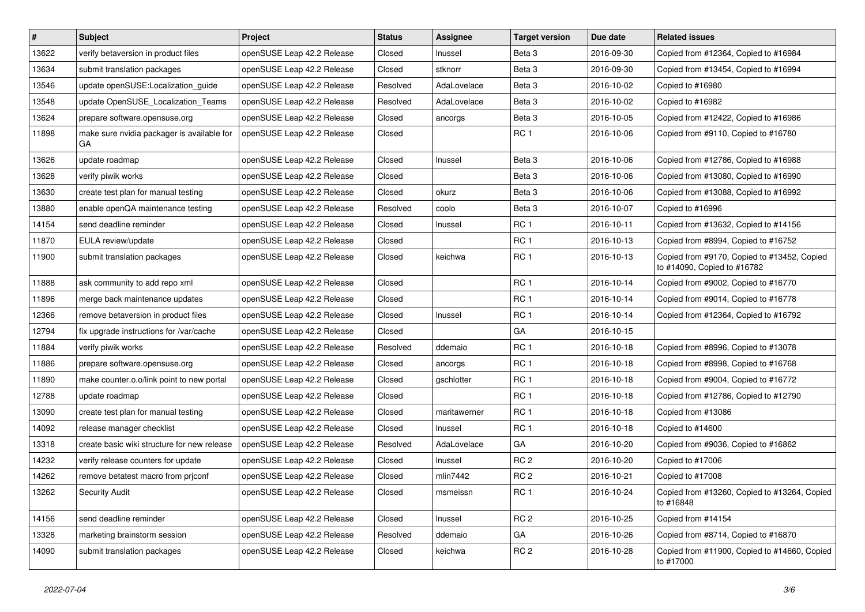| #     | <b>Subject</b>                                   | Project                    | <b>Status</b> | <b>Assignee</b> | <b>Target version</b> | Due date   | <b>Related issues</b>                                                      |
|-------|--------------------------------------------------|----------------------------|---------------|-----------------|-----------------------|------------|----------------------------------------------------------------------------|
| 13622 | verify betaversion in product files              | openSUSE Leap 42.2 Release | Closed        | Inussel         | Beta <sub>3</sub>     | 2016-09-30 | Copied from #12364, Copied to #16984                                       |
| 13634 | submit translation packages                      | openSUSE Leap 42.2 Release | Closed        | stknorr         | Beta <sub>3</sub>     | 2016-09-30 | Copied from #13454, Copied to #16994                                       |
| 13546 | update openSUSE:Localization_guide               | openSUSE Leap 42.2 Release | Resolved      | AdaLovelace     | Beta 3                | 2016-10-02 | Copied to #16980                                                           |
| 13548 | update OpenSUSE Localization Teams               | openSUSE Leap 42.2 Release | Resolved      | AdaLovelace     | Beta 3                | 2016-10-02 | Copied to #16982                                                           |
| 13624 | prepare software.opensuse.org                    | openSUSE Leap 42.2 Release | Closed        | ancorgs         | Beta <sub>3</sub>     | 2016-10-05 | Copied from #12422, Copied to #16986                                       |
| 11898 | make sure nvidia packager is available for<br>GA | openSUSE Leap 42.2 Release | Closed        |                 | RC <sub>1</sub>       | 2016-10-06 | Copied from #9110, Copied to #16780                                        |
| 13626 | update roadmap                                   | openSUSE Leap 42.2 Release | Closed        | Inussel         | Beta <sub>3</sub>     | 2016-10-06 | Copied from #12786, Copied to #16988                                       |
| 13628 | verify piwik works                               | openSUSE Leap 42.2 Release | Closed        |                 | Beta <sub>3</sub>     | 2016-10-06 | Copied from #13080, Copied to #16990                                       |
| 13630 | create test plan for manual testing              | openSUSE Leap 42.2 Release | Closed        | okurz           | Beta <sub>3</sub>     | 2016-10-06 | Copied from #13088, Copied to #16992                                       |
| 13880 | enable openQA maintenance testing                | openSUSE Leap 42.2 Release | Resolved      | coolo           | Beta <sub>3</sub>     | 2016-10-07 | Copied to #16996                                                           |
| 14154 | send deadline reminder                           | openSUSE Leap 42.2 Release | Closed        | Inussel         | RC <sub>1</sub>       | 2016-10-11 | Copied from #13632, Copied to #14156                                       |
| 11870 | EULA review/update                               | openSUSE Leap 42.2 Release | Closed        |                 | RC <sub>1</sub>       | 2016-10-13 | Copied from #8994, Copied to #16752                                        |
| 11900 | submit translation packages                      | openSUSE Leap 42.2 Release | Closed        | keichwa         | RC <sub>1</sub>       | 2016-10-13 | Copied from #9170, Copied to #13452, Copied<br>to #14090, Copied to #16782 |
| 11888 | ask community to add repo xml                    | openSUSE Leap 42.2 Release | Closed        |                 | RC <sub>1</sub>       | 2016-10-14 | Copied from #9002, Copied to #16770                                        |
| 11896 | merge back maintenance updates                   | openSUSE Leap 42.2 Release | Closed        |                 | RC <sub>1</sub>       | 2016-10-14 | Copied from #9014, Copied to #16778                                        |
| 12366 | remove betaversion in product files              | openSUSE Leap 42.2 Release | Closed        | Inussel         | RC <sub>1</sub>       | 2016-10-14 | Copied from #12364, Copied to #16792                                       |
| 12794 | fix upgrade instructions for /var/cache          | openSUSE Leap 42.2 Release | Closed        |                 | GA                    | 2016-10-15 |                                                                            |
| 11884 | verify piwik works                               | openSUSE Leap 42.2 Release | Resolved      | ddemaio         | RC <sub>1</sub>       | 2016-10-18 | Copied from #8996, Copied to #13078                                        |
| 11886 | prepare software.opensuse.org                    | openSUSE Leap 42.2 Release | Closed        | ancorgs         | RC <sub>1</sub>       | 2016-10-18 | Copied from #8998, Copied to #16768                                        |
| 11890 | make counter.o.o/link point to new portal        | openSUSE Leap 42.2 Release | Closed        | gschlotter      | RC <sub>1</sub>       | 2016-10-18 | Copied from #9004, Copied to #16772                                        |
| 12788 | update roadmap                                   | openSUSE Leap 42.2 Release | Closed        |                 | RC <sub>1</sub>       | 2016-10-18 | Copied from #12786, Copied to #12790                                       |
| 13090 | create test plan for manual testing              | openSUSE Leap 42.2 Release | Closed        | maritawerner    | RC <sub>1</sub>       | 2016-10-18 | Copied from #13086                                                         |
| 14092 | release manager checklist                        | openSUSE Leap 42.2 Release | Closed        | Inussel         | RC <sub>1</sub>       | 2016-10-18 | Copied to #14600                                                           |
| 13318 | create basic wiki structure for new release      | openSUSE Leap 42.2 Release | Resolved      | AdaLovelace     | GA                    | 2016-10-20 | Copied from #9036, Copied to #16862                                        |
| 14232 | verify release counters for update               | openSUSE Leap 42.2 Release | Closed        | Inussel         | RC <sub>2</sub>       | 2016-10-20 | Copied to #17006                                                           |
| 14262 | remove betatest macro from priconf               | openSUSE Leap 42.2 Release | Closed        | mlin7442        | RC <sub>2</sub>       | 2016-10-21 | Copied to #17008                                                           |
| 13262 | Security Audit                                   | openSUSE Leap 42.2 Release | Closed        | msmeissn        | RC <sub>1</sub>       | 2016-10-24 | Copied from #13260, Copied to #13264, Copied<br>to #16848                  |
| 14156 | send deadline reminder                           | openSUSE Leap 42.2 Release | Closed        | Inussel         | RC <sub>2</sub>       | 2016-10-25 | Copied from #14154                                                         |
| 13328 | marketing brainstorm session                     | openSUSE Leap 42.2 Release | Resolved      | ddemaio         | GA                    | 2016-10-26 | Copied from #8714, Copied to #16870                                        |
| 14090 | submit translation packages                      | openSUSE Leap 42.2 Release | Closed        | keichwa         | RC <sub>2</sub>       | 2016-10-28 | Copied from #11900, Copied to #14660, Copied<br>to #17000                  |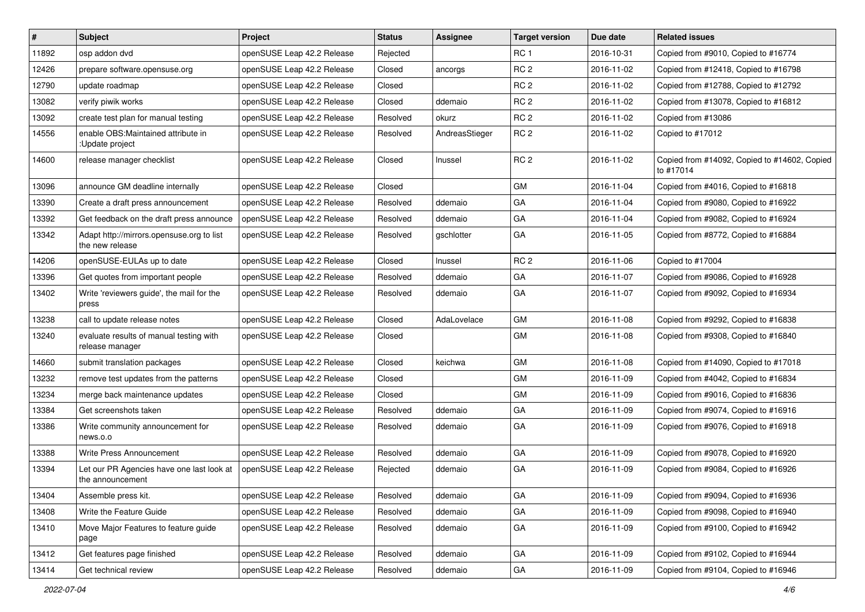| $\vert$ # | <b>Subject</b>                                                | Project                    | <b>Status</b> | <b>Assignee</b> | <b>Target version</b> | Due date   | <b>Related issues</b>                                     |
|-----------|---------------------------------------------------------------|----------------------------|---------------|-----------------|-----------------------|------------|-----------------------------------------------------------|
| 11892     | osp addon dvd                                                 | openSUSE Leap 42.2 Release | Rejected      |                 | RC <sub>1</sub>       | 2016-10-31 | Copied from #9010, Copied to #16774                       |
| 12426     | prepare software.opensuse.org                                 | openSUSE Leap 42.2 Release | Closed        | ancorgs         | RC <sub>2</sub>       | 2016-11-02 | Copied from #12418, Copied to #16798                      |
| 12790     | update roadmap                                                | openSUSE Leap 42.2 Release | Closed        |                 | RC <sub>2</sub>       | 2016-11-02 | Copied from #12788, Copied to #12792                      |
| 13082     | verify piwik works                                            | openSUSE Leap 42.2 Release | Closed        | ddemaio         | RC <sub>2</sub>       | 2016-11-02 | Copied from #13078, Copied to #16812                      |
| 13092     | create test plan for manual testing                           | openSUSE Leap 42.2 Release | Resolved      | okurz           | RC <sub>2</sub>       | 2016-11-02 | Copied from #13086                                        |
| 14556     | enable OBS: Maintained attribute in<br>:Update project        | openSUSE Leap 42.2 Release | Resolved      | AndreasStieger  | RC <sub>2</sub>       | 2016-11-02 | Copied to #17012                                          |
| 14600     | release manager checklist                                     | openSUSE Leap 42.2 Release | Closed        | Inussel         | RC <sub>2</sub>       | 2016-11-02 | Copied from #14092, Copied to #14602, Copied<br>to #17014 |
| 13096     | announce GM deadline internally                               | openSUSE Leap 42.2 Release | Closed        |                 | <b>GM</b>             | 2016-11-04 | Copied from #4016, Copied to #16818                       |
| 13390     | Create a draft press announcement                             | openSUSE Leap 42.2 Release | Resolved      | ddemaio         | GA                    | 2016-11-04 | Copied from #9080, Copied to #16922                       |
| 13392     | Get feedback on the draft press announce                      | openSUSE Leap 42.2 Release | Resolved      | ddemaio         | GA                    | 2016-11-04 | Copied from #9082, Copied to #16924                       |
| 13342     | Adapt http://mirrors.opensuse.org to list<br>the new release  | openSUSE Leap 42.2 Release | Resolved      | gschlotter      | GA                    | 2016-11-05 | Copied from #8772, Copied to #16884                       |
| 14206     | openSUSE-EULAs up to date                                     | openSUSE Leap 42.2 Release | Closed        | Inussel         | RC <sub>2</sub>       | 2016-11-06 | Copied to #17004                                          |
| 13396     | Get quotes from important people                              | openSUSE Leap 42.2 Release | Resolved      | ddemaio         | GA                    | 2016-11-07 | Copied from #9086, Copied to #16928                       |
| 13402     | Write 'reviewers quide', the mail for the<br>press            | openSUSE Leap 42.2 Release | Resolved      | ddemaio         | GA                    | 2016-11-07 | Copied from #9092, Copied to #16934                       |
| 13238     | call to update release notes                                  | openSUSE Leap 42.2 Release | Closed        | AdaLovelace     | GM                    | 2016-11-08 | Copied from #9292, Copied to #16838                       |
| 13240     | evaluate results of manual testing with<br>release manager    | openSUSE Leap 42.2 Release | Closed        |                 | GM                    | 2016-11-08 | Copied from #9308, Copied to #16840                       |
| 14660     | submit translation packages                                   | openSUSE Leap 42.2 Release | Closed        | keichwa         | <b>GM</b>             | 2016-11-08 | Copied from #14090, Copied to #17018                      |
| 13232     | remove test updates from the patterns                         | openSUSE Leap 42.2 Release | Closed        |                 | GM                    | 2016-11-09 | Copied from #4042, Copied to #16834                       |
| 13234     | merge back maintenance updates                                | openSUSE Leap 42.2 Release | Closed        |                 | GМ                    | 2016-11-09 | Copied from #9016, Copied to #16836                       |
| 13384     | Get screenshots taken                                         | openSUSE Leap 42.2 Release | Resolved      | ddemaio         | GA                    | 2016-11-09 | Copied from #9074, Copied to #16916                       |
| 13386     | Write community announcement for<br>news.o.o                  | openSUSE Leap 42.2 Release | Resolved      | ddemaio         | GA                    | 2016-11-09 | Copied from #9076, Copied to #16918                       |
| 13388     | Write Press Announcement                                      | openSUSE Leap 42.2 Release | Resolved      | ddemaio         | GA                    | 2016-11-09 | Copied from #9078, Copied to #16920                       |
| 13394     | Let our PR Agencies have one last look at<br>the announcement | openSUSE Leap 42.2 Release | Rejected      | ddemaio         | GA                    | 2016-11-09 | Copied from #9084, Copied to #16926                       |
| 13404     | Assemble press kit.                                           | openSUSE Leap 42.2 Release | Resolved      | ddemaio         | GA                    | 2016-11-09 | Copied from #9094, Copied to #16936                       |
| 13408     | Write the Feature Guide                                       | openSUSE Leap 42.2 Release | Resolved      | ddemaio         | GA                    | 2016-11-09 | Copied from #9098, Copied to #16940                       |
| 13410     | Move Major Features to feature quide<br>page                  | openSUSE Leap 42.2 Release | Resolved      | ddemaio         | GA                    | 2016-11-09 | Copied from #9100, Copied to #16942                       |
| 13412     | Get features page finished                                    | openSUSE Leap 42.2 Release | Resolved      | ddemaio         | GA                    | 2016-11-09 | Copied from #9102, Copied to #16944                       |
| 13414     | Get technical review                                          | openSUSE Leap 42.2 Release | Resolved      | ddemaio         | ${\sf GA}$            | 2016-11-09 | Copied from #9104, Copied to #16946                       |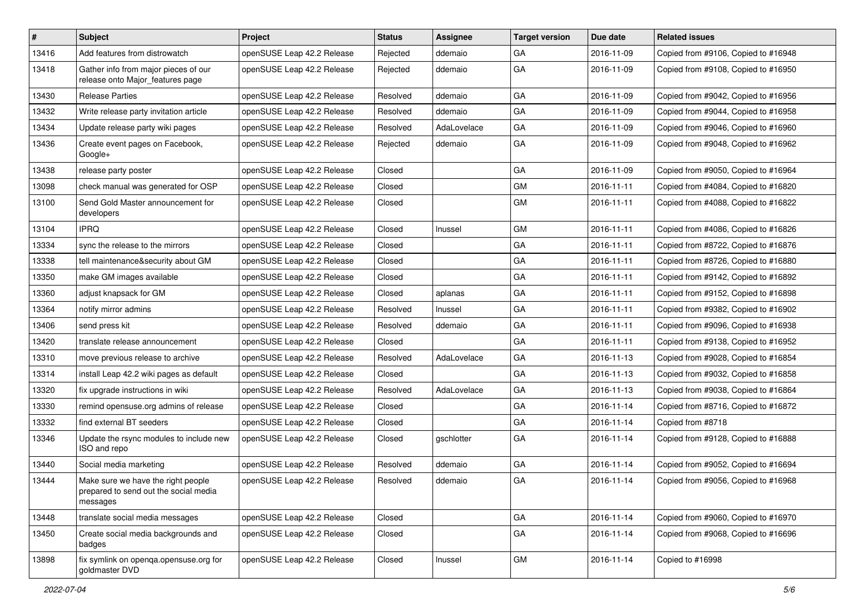| $\vert$ # | Subject                                                                                 | Project                    | <b>Status</b> | Assignee    | <b>Target version</b> | Due date   | <b>Related issues</b>               |
|-----------|-----------------------------------------------------------------------------------------|----------------------------|---------------|-------------|-----------------------|------------|-------------------------------------|
| 13416     | Add features from distrowatch                                                           | openSUSE Leap 42.2 Release | Rejected      | ddemaio     | GA                    | 2016-11-09 | Copied from #9106, Copied to #16948 |
| 13418     | Gather info from major pieces of our<br>release onto Major_features page                | openSUSE Leap 42.2 Release | Rejected      | ddemaio     | GA                    | 2016-11-09 | Copied from #9108, Copied to #16950 |
| 13430     | <b>Release Parties</b>                                                                  | openSUSE Leap 42.2 Release | Resolved      | ddemaio     | GA                    | 2016-11-09 | Copied from #9042, Copied to #16956 |
| 13432     | Write release party invitation article                                                  | openSUSE Leap 42.2 Release | Resolved      | ddemaio     | GA                    | 2016-11-09 | Copied from #9044, Copied to #16958 |
| 13434     | Update release party wiki pages                                                         | openSUSE Leap 42.2 Release | Resolved      | AdaLovelace | GA                    | 2016-11-09 | Copied from #9046, Copied to #16960 |
| 13436     | Create event pages on Facebook,<br>Google+                                              | openSUSE Leap 42.2 Release | Rejected      | ddemaio     | GA                    | 2016-11-09 | Copied from #9048, Copied to #16962 |
| 13438     | release party poster                                                                    | openSUSE Leap 42.2 Release | Closed        |             | GA                    | 2016-11-09 | Copied from #9050, Copied to #16964 |
| 13098     | check manual was generated for OSP                                                      | openSUSE Leap 42.2 Release | Closed        |             | <b>GM</b>             | 2016-11-11 | Copied from #4084, Copied to #16820 |
| 13100     | Send Gold Master announcement for<br>developers                                         | openSUSE Leap 42.2 Release | Closed        |             | GM                    | 2016-11-11 | Copied from #4088, Copied to #16822 |
| 13104     | <b>IPRQ</b>                                                                             | openSUSE Leap 42.2 Release | Closed        | Inussel     | GM                    | 2016-11-11 | Copied from #4086, Copied to #16826 |
| 13334     | sync the release to the mirrors                                                         | openSUSE Leap 42.2 Release | Closed        |             | GA                    | 2016-11-11 | Copied from #8722, Copied to #16876 |
| 13338     | tell maintenance&security about GM                                                      | openSUSE Leap 42.2 Release | Closed        |             | GA                    | 2016-11-11 | Copied from #8726, Copied to #16880 |
| 13350     | make GM images available                                                                | openSUSE Leap 42.2 Release | Closed        |             | GA                    | 2016-11-11 | Copied from #9142, Copied to #16892 |
| 13360     | adjust knapsack for GM                                                                  | openSUSE Leap 42.2 Release | Closed        | aplanas     | GA                    | 2016-11-11 | Copied from #9152, Copied to #16898 |
| 13364     | notify mirror admins                                                                    | openSUSE Leap 42.2 Release | Resolved      | Inussel     | GA                    | 2016-11-11 | Copied from #9382, Copied to #16902 |
| 13406     | send press kit                                                                          | openSUSE Leap 42.2 Release | Resolved      | ddemaio     | GA                    | 2016-11-11 | Copied from #9096, Copied to #16938 |
| 13420     | translate release announcement                                                          | openSUSE Leap 42.2 Release | Closed        |             | GA                    | 2016-11-11 | Copied from #9138, Copied to #16952 |
| 13310     | move previous release to archive                                                        | openSUSE Leap 42.2 Release | Resolved      | AdaLovelace | GA                    | 2016-11-13 | Copied from #9028, Copied to #16854 |
| 13314     | install Leap 42.2 wiki pages as default                                                 | openSUSE Leap 42.2 Release | Closed        |             | GA                    | 2016-11-13 | Copied from #9032, Copied to #16858 |
| 13320     | fix upgrade instructions in wiki                                                        | openSUSE Leap 42.2 Release | Resolved      | AdaLovelace | GA                    | 2016-11-13 | Copied from #9038, Copied to #16864 |
| 13330     | remind opensuse.org admins of release                                                   | openSUSE Leap 42.2 Release | Closed        |             | GA                    | 2016-11-14 | Copied from #8716, Copied to #16872 |
| 13332     | find external BT seeders                                                                | openSUSE Leap 42.2 Release | Closed        |             | GA                    | 2016-11-14 | Copied from #8718                   |
| 13346     | Update the rsync modules to include new<br>ISO and repo                                 | openSUSE Leap 42.2 Release | Closed        | gschlotter  | GA                    | 2016-11-14 | Copied from #9128, Copied to #16888 |
| 13440     | Social media marketing                                                                  | openSUSE Leap 42.2 Release | Resolved      | ddemaio     | GA                    | 2016-11-14 | Copied from #9052, Copied to #16694 |
| 13444     | Make sure we have the right people<br>prepared to send out the social media<br>messages | openSUSE Leap 42.2 Release | Resolved      | ddemaio     | GA                    | 2016-11-14 | Copied from #9056, Copied to #16968 |
| 13448     | translate social media messages                                                         | openSUSE Leap 42.2 Release | Closed        |             | GA                    | 2016-11-14 | Copied from #9060, Copied to #16970 |
| 13450     | Create social media backgrounds and<br>badges                                           | openSUSE Leap 42.2 Release | Closed        |             | GA                    | 2016-11-14 | Copied from #9068, Copied to #16696 |
| 13898     | fix symlink on openqa.opensuse.org for<br>goldmaster DVD                                | openSUSE Leap 42.2 Release | Closed        | Inussel     | GM                    | 2016-11-14 | Copied to #16998                    |